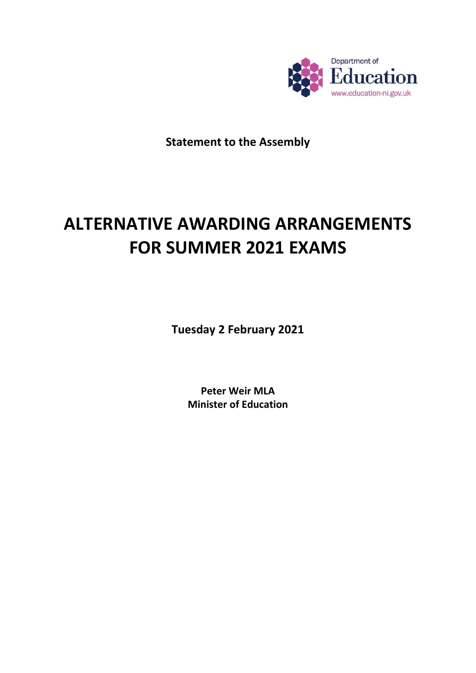

**Statement to the Assembly**

### **ALTERNATIVE AWARDING ARRANGEMENTS FOR SUMMER 2021 EXAMS**

**Tuesday 2 February 2021**

**Peter Weir MLA Minister of Education**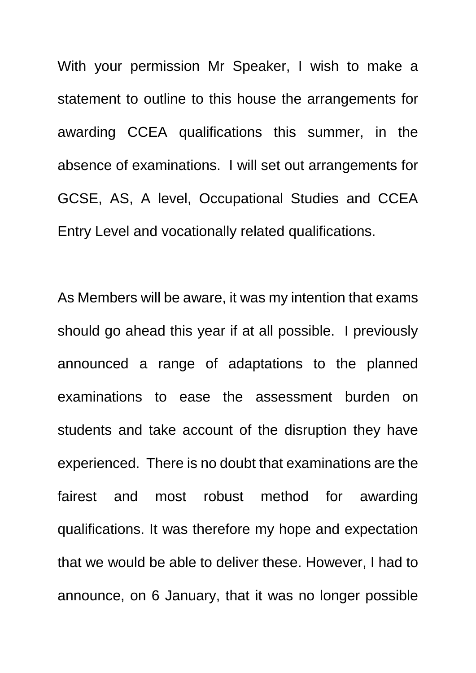With your permission Mr Speaker, I wish to make a statement to outline to this house the arrangements for awarding CCEA qualifications this summer, in the absence of examinations. I will set out arrangements for GCSE, AS, A level, Occupational Studies and CCEA Entry Level and vocationally related qualifications.

As Members will be aware, it was my intention that exams should go ahead this year if at all possible. I previously announced a range of adaptations to the planned examinations to ease the assessment burden on students and take account of the disruption they have experienced. There is no doubt that examinations are the fairest and most robust method for awarding qualifications. It was therefore my hope and expectation that we would be able to deliver these. However, I had to announce, on 6 January, that it was no longer possible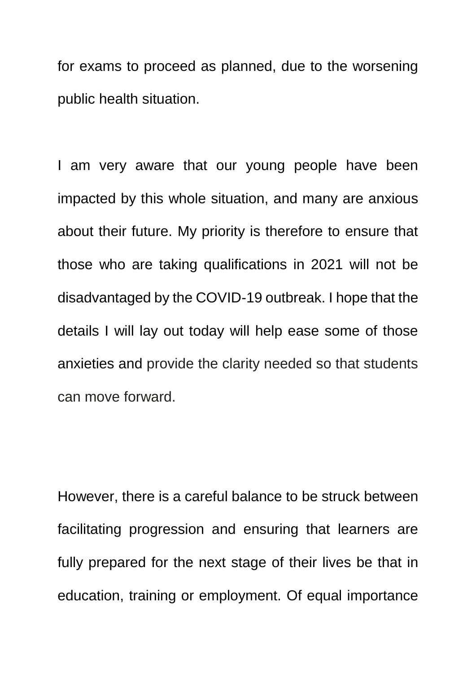for exams to proceed as planned, due to the worsening public health situation.

I am very aware that our young people have been impacted by this whole situation, and many are anxious about their future. My priority is therefore to ensure that those who are taking qualifications in 2021 will not be disadvantaged by the COVID-19 outbreak. I hope that the details I will lay out today will help ease some of those anxieties and provide the clarity needed so that students can move forward.

However, there is a careful balance to be struck between facilitating progression and ensuring that learners are fully prepared for the next stage of their lives be that in education, training or employment. Of equal importance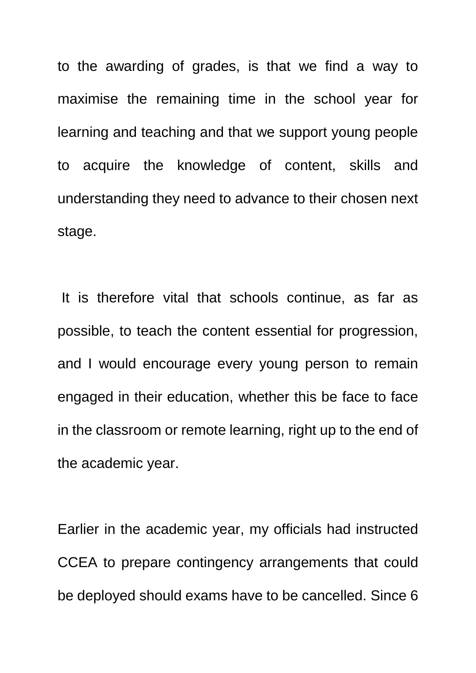to the awarding of grades, is that we find a way to maximise the remaining time in the school year for learning and teaching and that we support young people to acquire the knowledge of content, skills and understanding they need to advance to their chosen next stage.

It is therefore vital that schools continue, as far as possible, to teach the content essential for progression, and I would encourage every young person to remain engaged in their education, whether this be face to face in the classroom or remote learning, right up to the end of the academic year.

Earlier in the academic year, my officials had instructed CCEA to prepare contingency arrangements that could be deployed should exams have to be cancelled. Since 6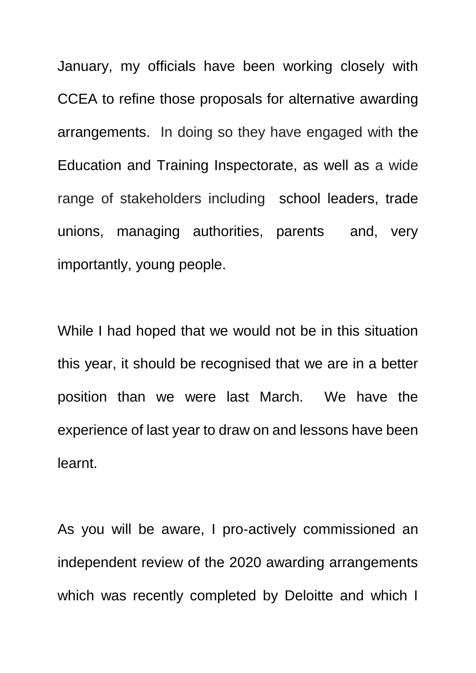January, my officials have been working closely with CCEA to refine those proposals for alternative awarding arrangements. In doing so they have engaged with the Education and Training Inspectorate, as well as a wide range of stakeholders including school leaders, trade unions, managing authorities, parents and, very importantly, young people.

While I had hoped that we would not be in this situation this year, it should be recognised that we are in a better position than we were last March. We have the experience of last year to draw on and lessons have been learnt.

As you will be aware, I pro-actively commissioned an independent review of the 2020 awarding arrangements which was recently completed by Deloitte and which I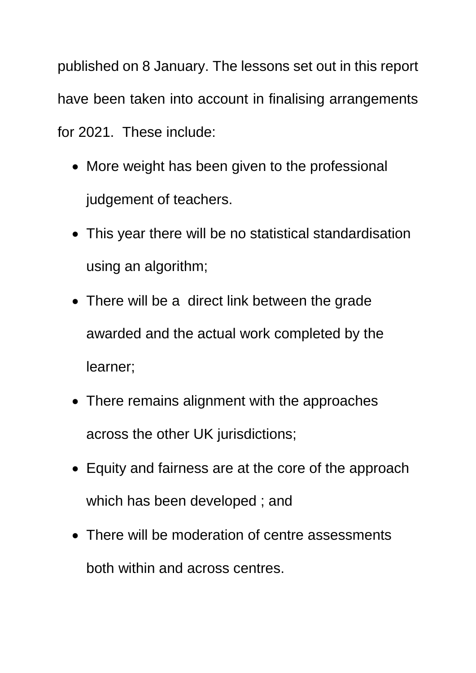published on 8 January. The lessons set out in this report have been taken into account in finalising arrangements for 2021. These include:

- More weight has been given to the professional judgement of teachers.
- This year there will be no statistical standardisation using an algorithm;
- There will be a direct link between the grade awarded and the actual work completed by the learner;
- There remains alignment with the approaches across the other UK jurisdictions;
- Equity and fairness are at the core of the approach which has been developed ; and
- There will be moderation of centre assessments both within and across centres.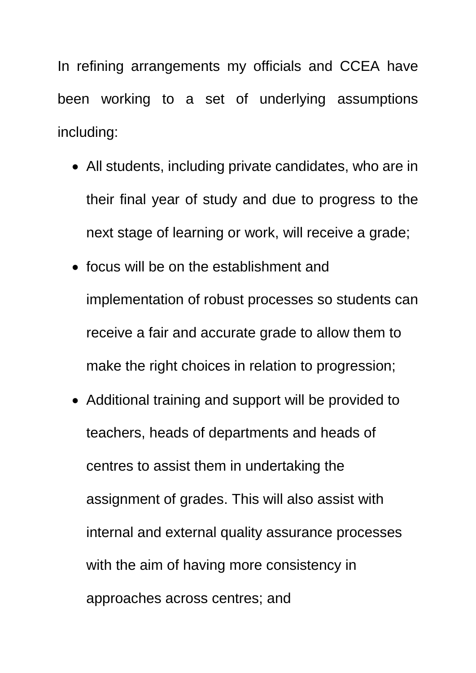In refining arrangements my officials and CCEA have been working to a set of underlying assumptions including:

- All students, including private candidates, who are in their final year of study and due to progress to the next stage of learning or work, will receive a grade;
- focus will be on the establishment and implementation of robust processes so students can receive a fair and accurate grade to allow them to make the right choices in relation to progression;
- Additional training and support will be provided to teachers, heads of departments and heads of centres to assist them in undertaking the assignment of grades. This will also assist with internal and external quality assurance processes with the aim of having more consistency in approaches across centres; and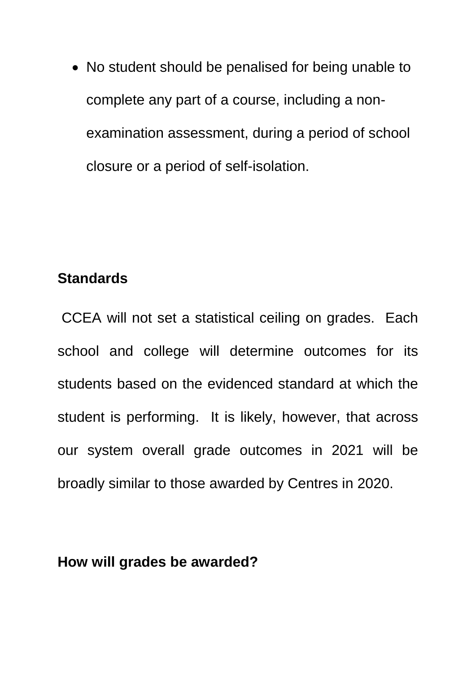• No student should be penalised for being unable to complete any part of a course, including a nonexamination assessment, during a period of school closure or a period of self-isolation.

#### **Standards**

CCEA will not set a statistical ceiling on grades. Each school and college will determine outcomes for its students based on the evidenced standard at which the student is performing. It is likely, however, that across our system overall grade outcomes in 2021 will be broadly similar to those awarded by Centres in 2020.

#### **How will grades be awarded?**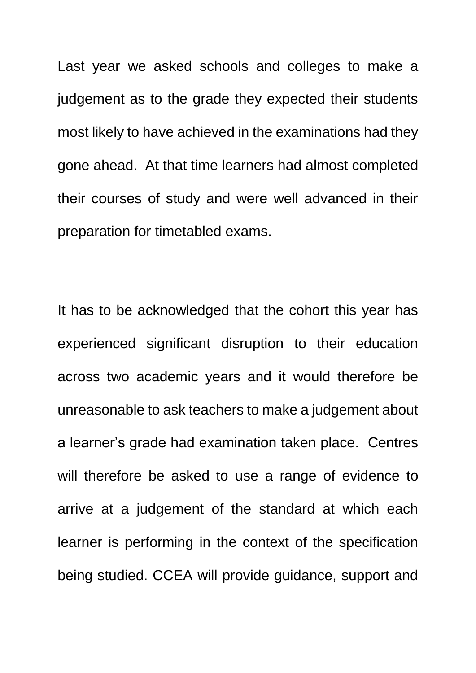Last year we asked schools and colleges to make a judgement as to the grade they expected their students most likely to have achieved in the examinations had they gone ahead. At that time learners had almost completed their courses of study and were well advanced in their preparation for timetabled exams.

It has to be acknowledged that the cohort this year has experienced significant disruption to their education across two academic years and it would therefore be unreasonable to ask teachers to make a judgement about a learner's grade had examination taken place. Centres will therefore be asked to use a range of evidence to arrive at a judgement of the standard at which each learner is performing in the context of the specification being studied. CCEA will provide guidance, support and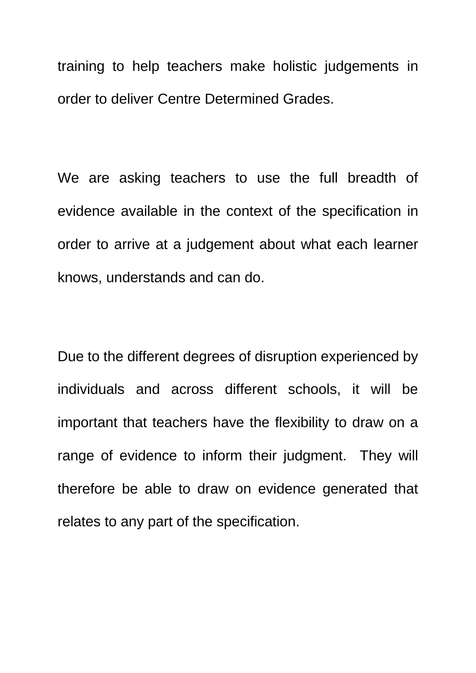training to help teachers make holistic judgements in order to deliver Centre Determined Grades.

We are asking teachers to use the full breadth of evidence available in the context of the specification in order to arrive at a judgement about what each learner knows, understands and can do.

Due to the different degrees of disruption experienced by individuals and across different schools, it will be important that teachers have the flexibility to draw on a range of evidence to inform their judgment. They will therefore be able to draw on evidence generated that relates to any part of the specification.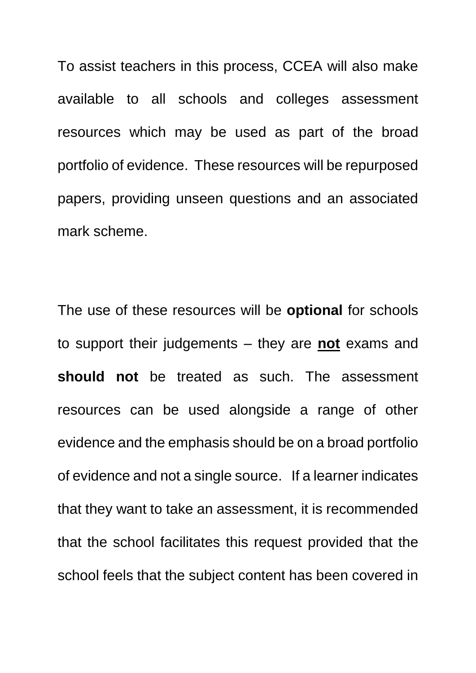To assist teachers in this process, CCEA will also make available to all schools and colleges assessment resources which may be used as part of the broad portfolio of evidence. These resources will be repurposed papers, providing unseen questions and an associated mark scheme.

The use of these resources will be **optional** for schools to support their judgements – they are **not** exams and **should not** be treated as such. The assessment resources can be used alongside a range of other evidence and the emphasis should be on a broad portfolio of evidence and not a single source. If a learner indicates that they want to take an assessment, it is recommended that the school facilitates this request provided that the school feels that the subject content has been covered in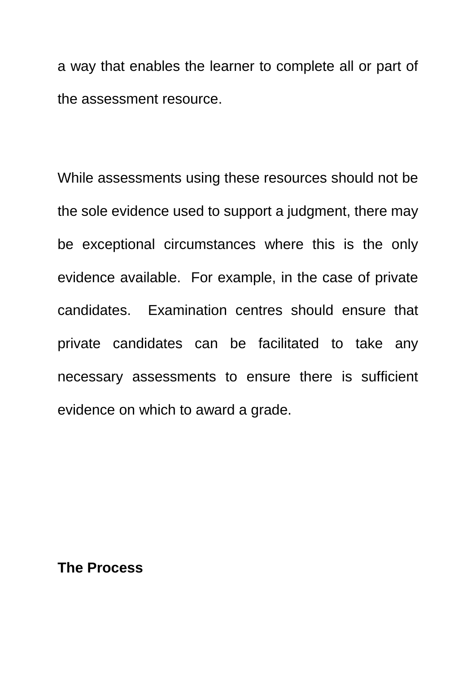a way that enables the learner to complete all or part of the assessment resource.

While assessments using these resources should not be the sole evidence used to support a judgment, there may be exceptional circumstances where this is the only evidence available. For example, in the case of private candidates. Examination centres should ensure that private candidates can be facilitated to take any necessary assessments to ensure there is sufficient evidence on which to award a grade.

**The Process**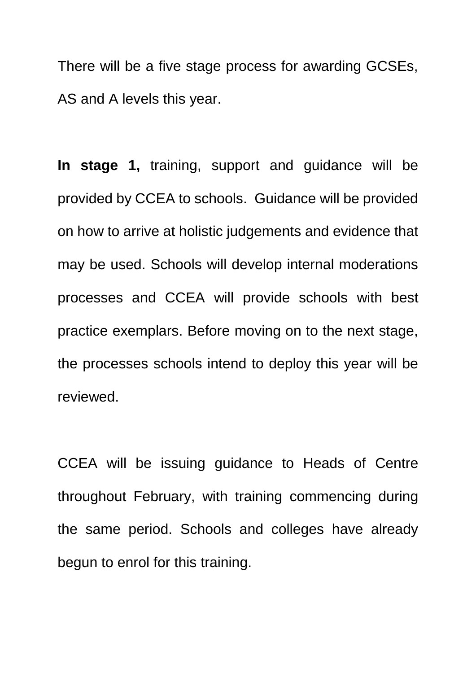There will be a five stage process for awarding GCSEs, AS and A levels this year.

**In stage 1,** training, support and guidance will be provided by CCEA to schools. Guidance will be provided on how to arrive at holistic judgements and evidence that may be used. Schools will develop internal moderations processes and CCEA will provide schools with best practice exemplars. Before moving on to the next stage, the processes schools intend to deploy this year will be reviewed.

CCEA will be issuing guidance to Heads of Centre throughout February, with training commencing during the same period. Schools and colleges have already begun to enrol for this training.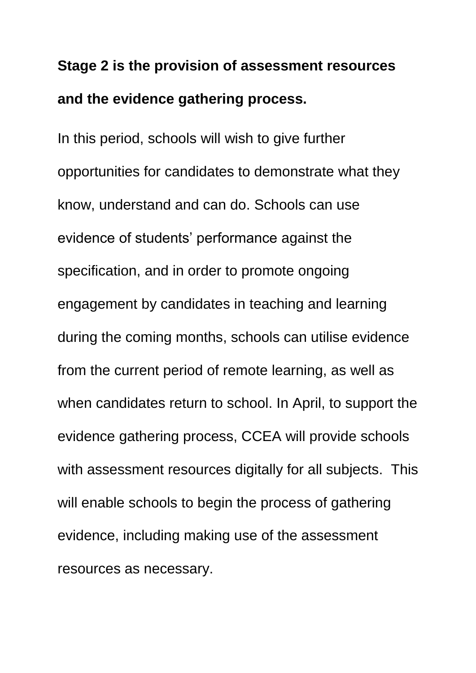### **Stage 2 is the provision of assessment resources and the evidence gathering process.**

In this period, schools will wish to give further opportunities for candidates to demonstrate what they know, understand and can do. Schools can use evidence of students' performance against the specification, and in order to promote ongoing engagement by candidates in teaching and learning during the coming months, schools can utilise evidence from the current period of remote learning, as well as when candidates return to school. In April, to support the evidence gathering process, CCEA will provide schools with assessment resources digitally for all subjects. This will enable schools to begin the process of gathering evidence, including making use of the assessment resources as necessary.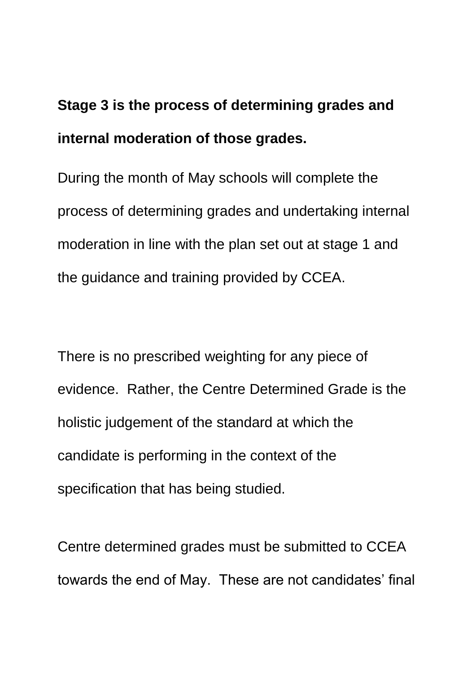## **Stage 3 is the process of determining grades and internal moderation of those grades.**

During the month of May schools will complete the process of determining grades and undertaking internal moderation in line with the plan set out at stage 1 and the guidance and training provided by CCEA.

There is no prescribed weighting for any piece of evidence. Rather, the Centre Determined Grade is the holistic judgement of the standard at which the candidate is performing in the context of the specification that has being studied.

Centre determined grades must be submitted to CCEA towards the end of May. These are not candidates' final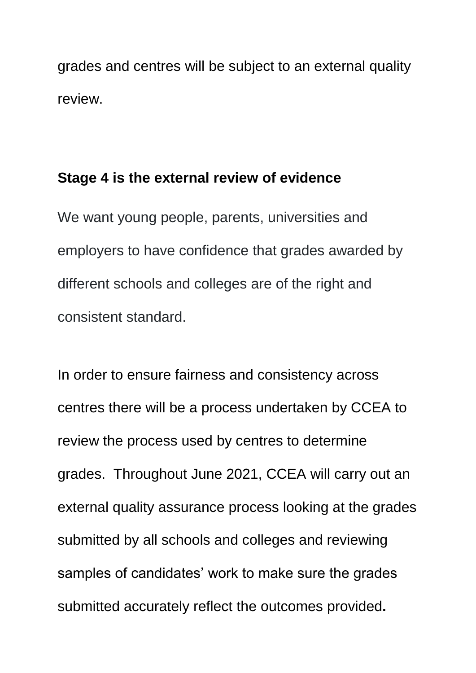grades and centres will be subject to an external quality review.

#### **Stage 4 is the external review of evidence**

We want young people, parents, universities and employers to have confidence that grades awarded by different schools and colleges are of the right and consistent standard.

In order to ensure fairness and consistency across centres there will be a process undertaken by CCEA to review the process used by centres to determine grades. Throughout June 2021, CCEA will carry out an external quality assurance process looking at the grades submitted by all schools and colleges and reviewing samples of candidates' work to make sure the grades submitted accurately reflect the outcomes provided**.**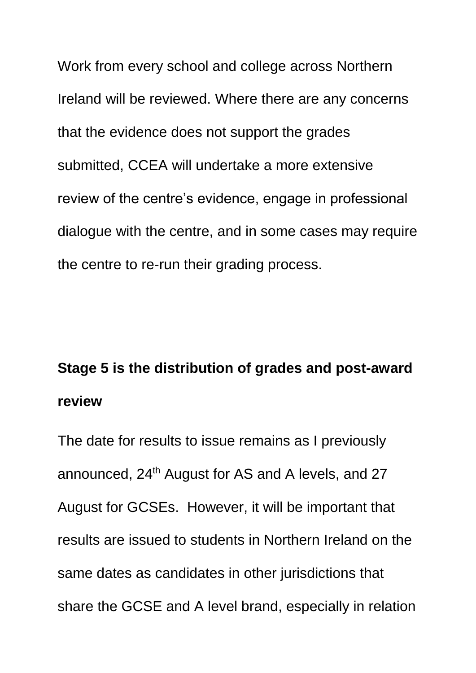Work from every school and college across Northern Ireland will be reviewed. Where there are any concerns that the evidence does not support the grades submitted, CCEA will undertake a more extensive review of the centre's evidence, engage in professional dialogue with the centre, and in some cases may require the centre to re-run their grading process.

# **Stage 5 is the distribution of grades and post-award review**

The date for results to issue remains as I previously announced, 24<sup>th</sup> August for AS and A levels, and 27 August for GCSEs. However, it will be important that results are issued to students in Northern Ireland on the same dates as candidates in other jurisdictions that share the GCSE and A level brand, especially in relation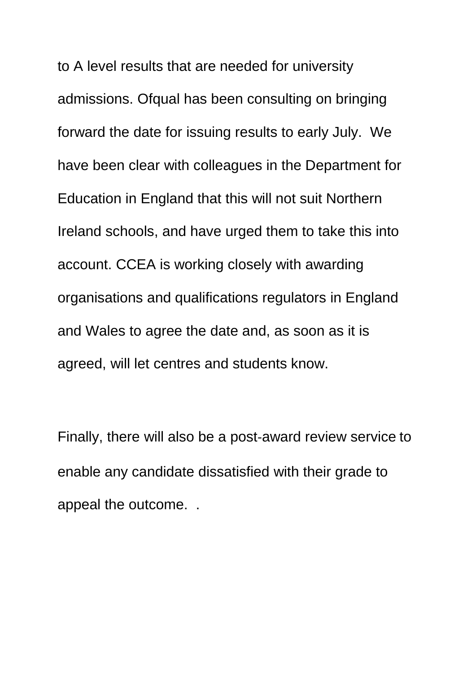to A level results that are needed for university admissions. Ofqual has been consulting on bringing forward the date for issuing results to early July. We have been clear with colleagues in the Department for Education in England that this will not suit Northern Ireland schools, and have urged them to take this into account. CCEA is working closely with awarding organisations and qualifications regulators in England and Wales to agree the date and, as soon as it is agreed, will let centres and students know.

Finally, there will also be a post-award review service to enable any candidate dissatisfied with their grade to appeal the outcome. .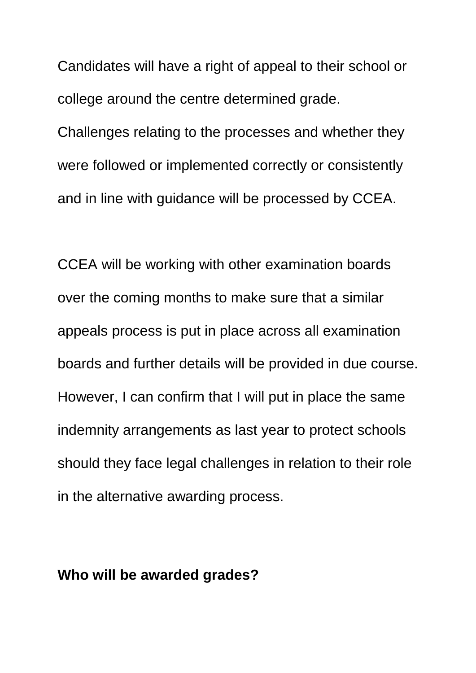Candidates will have a right of appeal to their school or college around the centre determined grade.

Challenges relating to the processes and whether they were followed or implemented correctly or consistently and in line with guidance will be processed by CCEA.

CCEA will be working with other examination boards over the coming months to make sure that a similar appeals process is put in place across all examination boards and further details will be provided in due course. However, I can confirm that I will put in place the same indemnity arrangements as last year to protect schools should they face legal challenges in relation to their role in the alternative awarding process.

#### **Who will be awarded grades?**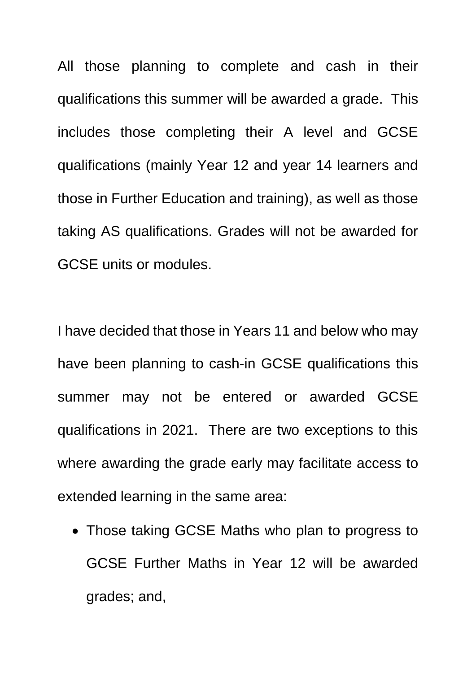All those planning to complete and cash in their qualifications this summer will be awarded a grade. This includes those completing their A level and GCSE qualifications (mainly Year 12 and year 14 learners and those in Further Education and training), as well as those taking AS qualifications. Grades will not be awarded for GCSE units or modules.

I have decided that those in Years 11 and below who may have been planning to cash-in GCSE qualifications this summer may not be entered or awarded GCSE qualifications in 2021. There are two exceptions to this where awarding the grade early may facilitate access to extended learning in the same area:

 Those taking GCSE Maths who plan to progress to GCSE Further Maths in Year 12 will be awarded grades; and,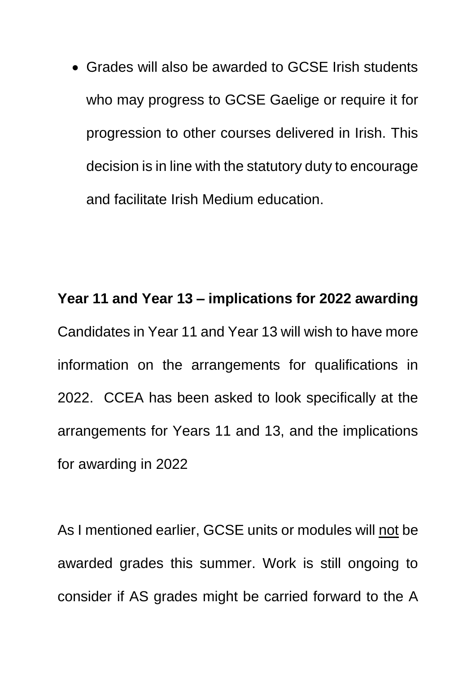Grades will also be awarded to GCSE Irish students who may progress to GCSE Gaelige or require it for progression to other courses delivered in Irish. This decision is in line with the statutory duty to encourage and facilitate Irish Medium education.

**Year 11 and Year 13 – implications for 2022 awarding** Candidates in Year 11 and Year 13 will wish to have more information on the arrangements for qualifications in 2022. CCEA has been asked to look specifically at the arrangements for Years 11 and 13, and the implications for awarding in 2022

As I mentioned earlier, GCSE units or modules will not be awarded grades this summer. Work is still ongoing to consider if AS grades might be carried forward to the A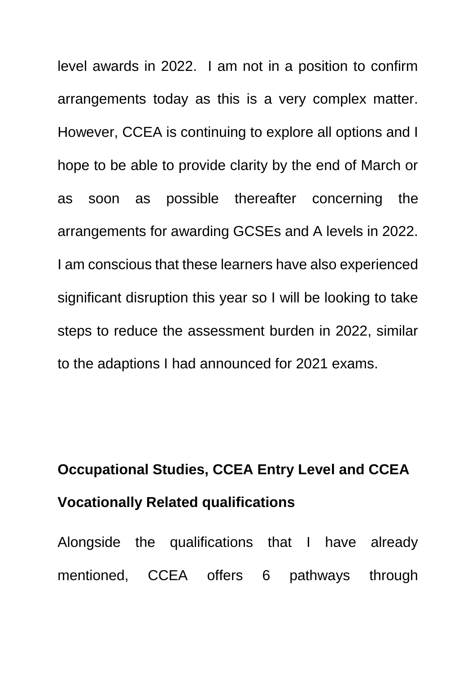level awards in 2022. I am not in a position to confirm arrangements today as this is a very complex matter. However, CCEA is continuing to explore all options and I hope to be able to provide clarity by the end of March or as soon as possible thereafter concerning the arrangements for awarding GCSEs and A levels in 2022. I am conscious that these learners have also experienced significant disruption this year so I will be looking to take steps to reduce the assessment burden in 2022, similar to the adaptions I had announced for 2021 exams.

# **Occupational Studies, CCEA Entry Level and CCEA Vocationally Related qualifications**

Alongside the qualifications that I have already mentioned, CCEA offers 6 pathways through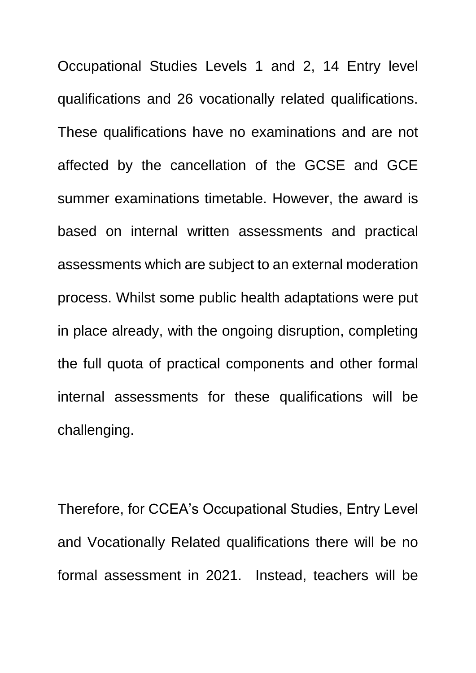Occupational Studies Levels 1 and 2, 14 Entry level qualifications and 26 vocationally related qualifications. These qualifications have no examinations and are not affected by the cancellation of the GCSE and GCE summer examinations timetable. However, the award is based on internal written assessments and practical assessments which are subject to an external moderation process. Whilst some public health adaptations were put in place already, with the ongoing disruption, completing the full quota of practical components and other formal internal assessments for these qualifications will be challenging.

Therefore, for CCEA's Occupational Studies, Entry Level and Vocationally Related qualifications there will be no formal assessment in 2021. Instead, teachers will be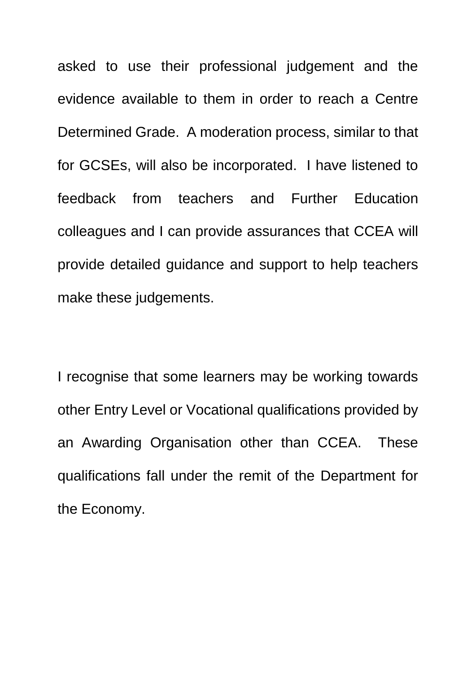asked to use their professional judgement and the evidence available to them in order to reach a Centre Determined Grade. A moderation process, similar to that for GCSEs, will also be incorporated. I have listened to feedback from teachers and Further Education colleagues and I can provide assurances that CCEA will provide detailed guidance and support to help teachers make these judgements.

I recognise that some learners may be working towards other Entry Level or Vocational qualifications provided by an Awarding Organisation other than CCEA. These qualifications fall under the remit of the Department for the Economy.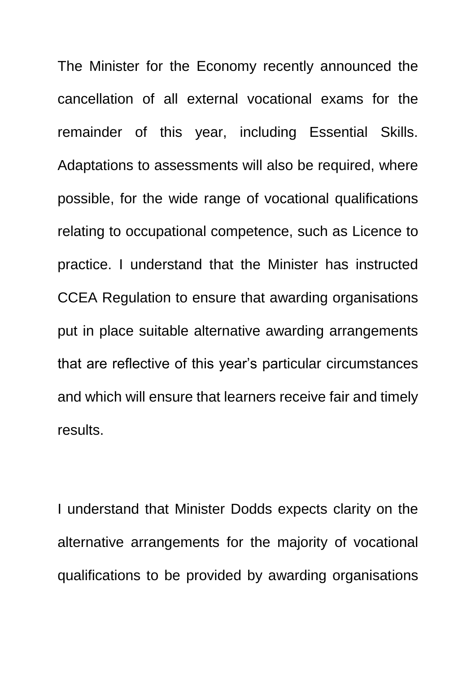The Minister for the Economy recently announced the cancellation of all external vocational exams for the remainder of this year, including Essential Skills. Adaptations to assessments will also be required, where possible, for the wide range of vocational qualifications relating to occupational competence, such as Licence to practice. I understand that the Minister has instructed CCEA Regulation to ensure that awarding organisations put in place suitable alternative awarding arrangements that are reflective of this year's particular circumstances and which will ensure that learners receive fair and timely results.

I understand that Minister Dodds expects clarity on the alternative arrangements for the majority of vocational qualifications to be provided by awarding organisations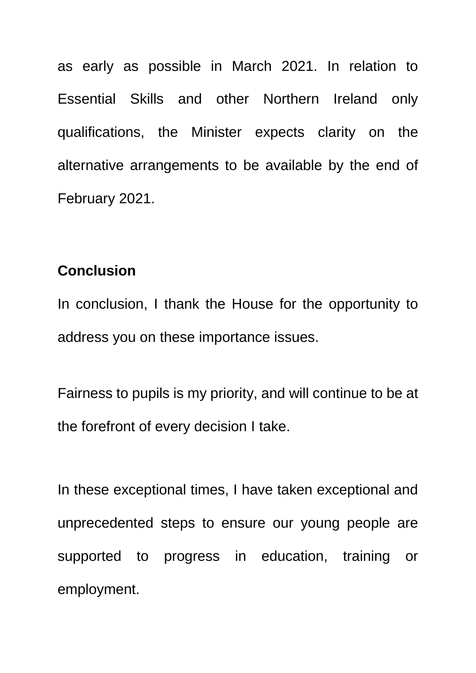as early as possible in March 2021. In relation to Essential Skills and other Northern Ireland only qualifications, the Minister expects clarity on the alternative arrangements to be available by the end of February 2021.

#### **Conclusion**

In conclusion, I thank the House for the opportunity to address you on these importance issues.

Fairness to pupils is my priority, and will continue to be at the forefront of every decision I take.

In these exceptional times, I have taken exceptional and unprecedented steps to ensure our young people are supported to progress in education, training or employment.